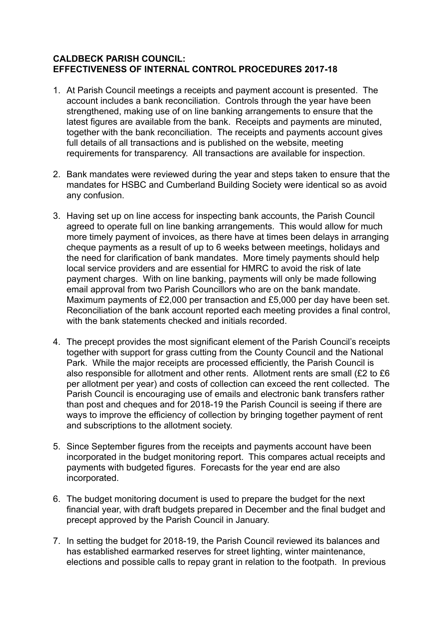## **CALDBECK PARISH COUNCIL: EFFECTIVENESS OF INTERNAL CONTROL PROCEDURES 2017-18**

- 1. At Parish Council meetings a receipts and payment account is presented. The account includes a bank reconciliation. Controls through the year have been strengthened, making use of on line banking arrangements to ensure that the latest figures are available from the bank. Receipts and payments are minuted, together with the bank reconciliation. The receipts and payments account gives full details of all transactions and is published on the website, meeting requirements for transparency. All transactions are available for inspection.
- 2. Bank mandates were reviewed during the year and steps taken to ensure that the mandates for HSBC and Cumberland Building Society were identical so as avoid any confusion.
- 3. Having set up on line access for inspecting bank accounts, the Parish Council agreed to operate full on line banking arrangements. This would allow for much more timely payment of invoices, as there have at times been delays in arranging cheque payments as a result of up to 6 weeks between meetings, holidays and the need for clarification of bank mandates. More timely payments should help local service providers and are essential for HMRC to avoid the risk of late payment charges. With on line banking, payments will only be made following email approval from two Parish Councillors who are on the bank mandate. Maximum payments of £2,000 per transaction and £5,000 per day have been set. Reconciliation of the bank account reported each meeting provides a final control, with the bank statements checked and initials recorded.
- 4. The precept provides the most significant element of the Parish Council's receipts together with support for grass cutting from the County Council and the National Park. While the major receipts are processed efficiently, the Parish Council is also responsible for allotment and other rents. Allotment rents are small (£2 to £6 per allotment per year) and costs of collection can exceed the rent collected. The Parish Council is encouraging use of emails and electronic bank transfers rather than post and cheques and for 2018-19 the Parish Council is seeing if there are ways to improve the efficiency of collection by bringing together payment of rent and subscriptions to the allotment society.
- 5. Since September figures from the receipts and payments account have been incorporated in the budget monitoring report. This compares actual receipts and payments with budgeted figures. Forecasts for the year end are also incorporated.
- 6. The budget monitoring document is used to prepare the budget for the next financial year, with draft budgets prepared in December and the final budget and precept approved by the Parish Council in January.
- 7. In setting the budget for 2018-19, the Parish Council reviewed its balances and has established earmarked reserves for street lighting, winter maintenance, elections and possible calls to repay grant in relation to the footpath. In previous